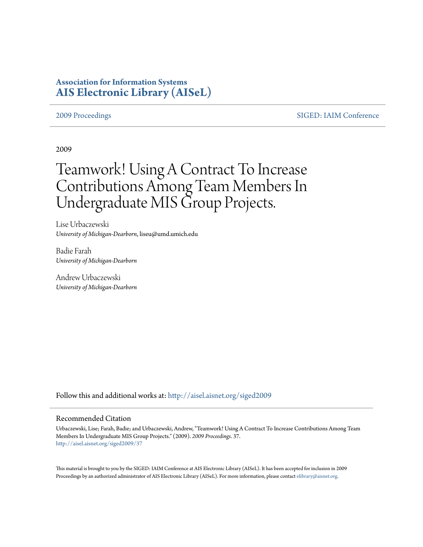# **Association for Information Systems [AIS Electronic Library \(AISeL\)](http://aisel.aisnet.org?utm_source=aisel.aisnet.org%2Fsiged2009%2F37&utm_medium=PDF&utm_campaign=PDFCoverPages)**

#### [2009 Proceedings](http://aisel.aisnet.org/siged2009?utm_source=aisel.aisnet.org%2Fsiged2009%2F37&utm_medium=PDF&utm_campaign=PDFCoverPages) [SIGED: IAIM Conference](http://aisel.aisnet.org/siged?utm_source=aisel.aisnet.org%2Fsiged2009%2F37&utm_medium=PDF&utm_campaign=PDFCoverPages)

2009

# Teamwork! Using A Contract To Increase Contributions Among Team Members In Undergraduate MIS Group Projects.

Lise Urbaczewski *University of Michigan-Dearborn*, liseu@umd.umich.edu

Badie Farah *University of Michigan-Dearborn*

Andrew Urbaczewski *University of Michigan-Dearborn*

Follow this and additional works at: [http://aisel.aisnet.org/siged2009](http://aisel.aisnet.org/siged2009?utm_source=aisel.aisnet.org%2Fsiged2009%2F37&utm_medium=PDF&utm_campaign=PDFCoverPages)

#### Recommended Citation

Urbaczewski, Lise; Farah, Badie; and Urbaczewski, Andrew, "Teamwork! Using A Contract To Increase Contributions Among Team Members In Undergraduate MIS Group Projects." (2009). *2009 Proceedings*. 37. [http://aisel.aisnet.org/siged2009/37](http://aisel.aisnet.org/siged2009/37?utm_source=aisel.aisnet.org%2Fsiged2009%2F37&utm_medium=PDF&utm_campaign=PDFCoverPages)

This material is brought to you by the SIGED: IAIM Conference at AIS Electronic Library (AISeL). It has been accepted for inclusion in 2009 Proceedings by an authorized administrator of AIS Electronic Library (AISeL). For more information, please contact [elibrary@aisnet.org](mailto:elibrary@aisnet.org%3E).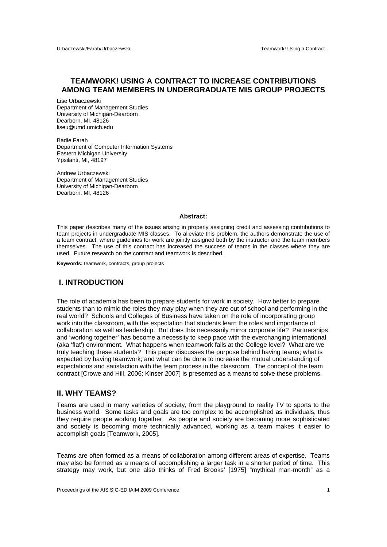### **TEAMWORK! USING A CONTRACT TO INCREASE CONTRIBUTIONS AMONG TEAM MEMBERS IN UNDERGRADUATE MIS GROUP PROJECTS**

Lise Urbaczewski Department of Management Studies University of Michigan-Dearborn Dearborn, MI, 48126 liseu@umd.umich.edu

Badie Farah Department of Computer Information Systems Eastern Michigan University Ypsilanti, MI, 48197

Andrew Urbaczewski Department of Management Studies University of Michigan-Dearborn Dearborn, MI, 48126

#### **Abstract:**

This paper describes many of the issues arising in properly assigning credit and assessing contributions to team projects in undergraduate MIS classes. To alleviate this problem, the authors demonstrate the use of a team contract, where guidelines for work are jointly assigned both by the instructor and the team members themselves. The use of this contract has increased the success of teams in the classes where they are used. Future research on the contract and teamwork is described.

**Keywords:** teamwork, contracts, group projects

#### **I. INTRODUCTION**

The role of academia has been to prepare students for work in society. How better to prepare students than to mimic the roles they may play when they are out of school and performing in the real world? Schools and Colleges of Business have taken on the role of incorporating group work into the classroom, with the expectation that students learn the roles and importance of collaboration as well as leadership. But does this necessarily mirror corporate life? Partnerships and 'working together' has become a necessity to keep pace with the everchanging international (aka 'flat') environment. What happens when teamwork fails at the College level? What are we truly teaching these students? This paper discusses the purpose behind having teams; what is expected by having teamwork; and what can be done to increase the mutual understanding of expectations and satisfaction with the team process in the classroom. The concept of the team contract [Crowe and Hill, 2006; Kinser 2007] is presented as a means to solve these problems.

#### **II. WHY TEAMS?**

Teams are used in many varieties of society, from the playground to reality TV to sports to the business world. Some tasks and goals are too complex to be accomplished as individuals, thus they require people working together. As people and society are becoming more sophisticated and society is becoming more technically advanced, working as a team makes it easier to accomplish goals [Teamwork, 2005].

Teams are often formed as a means of collaboration among different areas of expertise. Teams may also be formed as a means of accomplishing a larger task in a shorter period of time. This strategy may work, but one also thinks of Fred Brooks' [1975] "mythical man-month" as a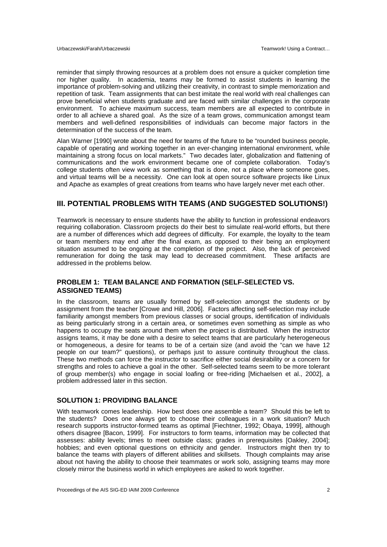reminder that simply throwing resources at a problem does not ensure a quicker completion time nor higher quality. In academia, teams may be formed to assist students in learning the importance of problem-solving and utilizing their creativity, in contrast to simple memorization and repetition of task. Team assignments that can best imitate the real world with real challenges can prove beneficial when students graduate and are faced with similar challenges in the corporate environment. To achieve maximum success, team members are all expected to contribute in order to all achieve a shared goal. As the size of a team grows, communication amongst team members and well-defined responsibilities of individuals can become major factors in the determination of the success of the team.

Alan Warner [1990] wrote about the need for teams of the future to be "rounded business people, capable of operating and working together in an ever-changing international environment, while maintaining a strong focus on local markets." Two decades later, globalization and flattening of communications and the work environment became one of complete collaboration. Today's college students often view work as something that is done, not a place where someone goes, and virtual teams will be a necessity. One can look at open source software projects like Linux and Apache as examples of great creations from teams who have largely never met each other.

#### **III. POTENTIAL PROBLEMS WITH TEAMS (AND SUGGESTED SOLUTIONS!)**

Teamwork is necessary to ensure students have the ability to function in professional endeavors requiring collaboration. Classroom projects do their best to simulate real-world efforts, but there are a number of differences which add degrees of difficulty. For example, the loyalty to the team or team members may end after the final exam, as opposed to their being an employment situation assumed to be ongoing at the completion of the project. Also, the lack of perceived remuneration for doing the task may lead to decreased commitment. These artifacts are addressed in the problems below.

#### **PROBLEM 1: TEAM BALANCE AND FORMATION (SELF-SELECTED VS. ASSIGNED TEAMS)**

In the classroom, teams are usually formed by self-selection amongst the students or by assignment from the teacher [Crowe and Hill, 2006]. Factors affecting self-selection may include familiarity amongst members from previous classes or social groups, identification of individuals as being particularly strong in a certain area, or sometimes even something as simple as who happens to occupy the seats around them when the project is distributed. When the instructor assigns teams, it may be done with a desire to select teams that are particularly heterogeneous or homogeneous, a desire for teams to be of a certain size (and avoid the "can we have 12 people on our team?" questions), or perhaps just to assure continuity throughout the class. These two methods can force the instructor to sacrifice either social desirability or a concern for strengths and roles to achieve a goal in the other. Self-selected teams seem to be more tolerant of group member(s) who engage in social loafing or free-riding [Michaelsen et al., 2002], a problem addressed later in this section.

#### **SOLUTION 1: PROVIDING BALANCE**

With teamwork comes leadership. How best does one assemble a team? Should this be left to the students? Does one always get to choose their colleagues in a work situation? Much research supports instructor-formed teams as optimal [Fiechtner, 1992; Obaya, 1999], although others disagree [Bacon, 1999]. For instructors to form teams, information may be collected that assesses: ability levels; times to meet outside class; grades in prerequisites [Oakley, 2004]; hobbies; and even optional questions on ethnicity and gender. Instructors might then try to balance the teams with players of different abilities and skillsets. Though complaints may arise about not having the ability to choose their teammates or work solo, assigning teams may more closely mirror the business world in which employees are asked to work together.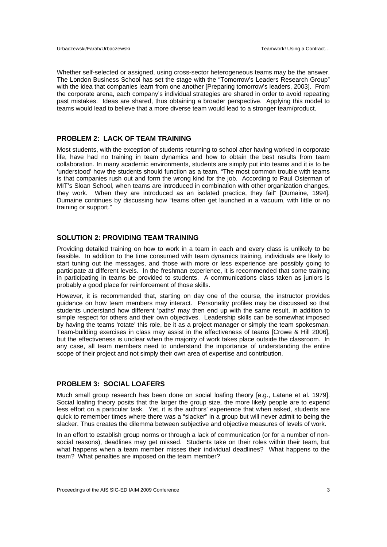Whether self-selected or assigned, using cross-sector heterogeneous teams may be the answer. The London Business School has set the stage with the "Tomorrow's Leaders Research Group" with the idea that companies learn from one another [Preparing tomorrow's leaders, 2003]. From the corporate arena, each company's individual strategies are shared in order to avoid repeating past mistakes. Ideas are shared, thus obtaining a broader perspective. Applying this model to teams would lead to believe that a more diverse team would lead to a stronger team/product.

#### **PROBLEM 2: LACK OF TEAM TRAINING**

Most students, with the exception of students returning to school after having worked in corporate life, have had no training in team dynamics and how to obtain the best results from team collaboration. In many academic environments, students are simply put into teams and it is to be 'understood' how the students should function as a team. "The most common trouble with teams is that companies rush out and form the wrong kind for the job. According to Paul Osterman of MIT's Sloan School, when teams are introduced in combination with other organization changes, they work. When they are introduced as an isolated practice, they fail" [Dumaine, 1994]. Dumaine continues by discussing how "teams often get launched in a vacuum, with little or no training or support."

#### **SOLUTION 2: PROVIDING TEAM TRAINING**

Providing detailed training on how to work in a team in each and every class is unlikely to be feasible. In addition to the time consumed with team dynamics training, individuals are likely to start tuning out the messages, and those with more or less experience are possibly going to participate at different levels. In the freshman experience, it is recommended that some training in participating in teams be provided to students. A communications class taken as juniors is probably a good place for reinforcement of those skills.

However, it is recommended that, starting on day one of the course, the instructor provides guidance on how team members may interact. Personality profiles may be discussed so that students understand how different 'paths' may then end up with the same result, in addition to simple respect for others and their own objectives. Leadership skills can be somewhat imposed by having the teams 'rotate' this role, be it as a project manager or simply the team spokesman. Team-building exercises in class may assist in the effectiveness of teams [Crowe & Hill 2006], but the effectiveness is unclear when the majority of work takes place outside the classroom. In any case, all team members need to understand the importance of understanding the entire scope of their project and not simply their own area of expertise and contribution.

#### **PROBLEM 3: SOCIAL LOAFERS**

Much small group research has been done on social loafing theory [e.g., Latane et al. 1979]. Social loafing theory posits that the larger the group size, the more likely people are to expend less effort on a particular task. Yet, it is the authors' experience that when asked, students are quick to remember times where there was a "slacker" in a group but will never admit to being the slacker. Thus creates the dilemma between subjective and objective measures of levels of work.

In an effort to establish group norms or through a lack of communication (or for a number of nonsocial reasons), deadlines may get missed. Students take on their roles within their team, but what happens when a team member misses their individual deadlines? What happens to the team? What penalties are imposed on the team member?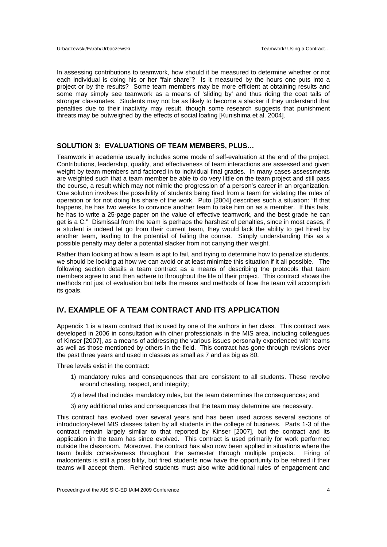In assessing contributions to teamwork, how should it be measured to determine whether or not each individual is doing his or her "fair share"? Is it measured by the hours one puts into a project or by the results? Some team members may be more efficient at obtaining results and some may simply see teamwork as a means of 'sliding by' and thus riding the coat tails of stronger classmates. Students may not be as likely to become a slacker if they understand that penalties due to their inactivity may result, though some research suggests that punishment threats may be outweighed by the effects of social loafing [Kunishima et al. 2004].

#### **SOLUTION 3: EVALUATIONS OF TEAM MEMBERS, PLUS…**

Teamwork in academia usually includes some mode of self-evaluation at the end of the project. Contributions, leadership, quality, and effectiveness of team interactions are assessed and given weight by team members and factored in to individual final grades. In many cases assessments are weighted such that a team member be able to do very little on the team project and still pass the course, a result which may not mimic the progression of a person's career in an organization. One solution involves the possibility of students being fired from a team for violating the rules of operation or for not doing his share of the work. Puto [2004] describes such a situation: "If that happens, he has two weeks to convince another team to take him on as a member. If this fails, he has to write a 25-page paper on the value of effective teamwork, and the best grade he can get is a C." Dismissal from the team is perhaps the harshest of penalties, since in most cases, if a student is indeed let go from their current team, they would lack the ability to get hired by another team, leading to the potential of failing the course. Simply understanding this as a possible penalty may defer a potential slacker from not carrying their weight.

Rather than looking at how a team is apt to fail, and trying to determine how to penalize students, we should be looking at how we can avoid or at least minimize this situation if it all possible. The following section details a team contract as a means of describing the protocols that team members agree to and then adhere to throughout the life of their project. This contract shows the methods not just of evaluation but tells the means and methods of how the team will accomplish its goals.

### **IV. EXAMPLE OF A TEAM CONTRACT AND ITS APPLICATION**

Appendix 1 is a team contract that is used by one of the authors in her class. This contract was developed in 2006 in consultation with other professionals in the MIS area, including colleagues of Kinser [2007], as a means of addressing the various issues personally experienced with teams as well as those mentioned by others in the field. This contract has gone through revisions over the past three years and used in classes as small as 7 and as big as 80.

Three levels exist in the contract:

- 1) mandatory rules and consequences that are consistent to all students. These revolve around cheating, respect, and integrity;
- 2) a level that includes mandatory rules, but the team determines the consequences; and
- 3) any additional rules and consequences that the team may determine are necessary.

This contract has evolved over several years and has been used across several sections of introductory-level MIS classes taken by all students in the college of business. Parts 1-3 of the contract remain largely similar to that reported by Kinser [2007], but the contract and its application in the team has since evolved. This contract is used primarily for work performed outside the classroom. Moreover, the contract has also now been applied in situations where the team builds cohesiveness throughout the semester through multiple projects. Firing of malcontents is still a possibility, but fired students now have the opportunity to be rehired if their teams will accept them. Rehired students must also write additional rules of engagement and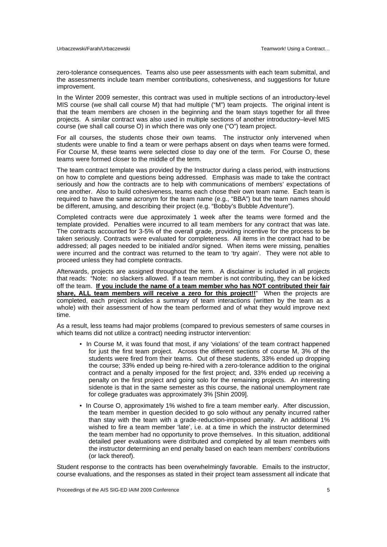zero-tolerance consequences. Teams also use peer assessments with each team submittal, and the assessments include team member contributions, cohesiveness, and suggestions for future improvement.

In the Winter 2009 semester, this contract was used in multiple sections of an introductory-level MIS course (we shall call course M) that had multiple ("M") team projects. The original intent is that the team members are chosen in the beginning and the team stays together for all three projects. A similar contract was also used in multiple sections of another introductory–level MIS course (we shall call course O) in which there was only one ("O") team project.

For all courses, the students chose their own teams. The instructor only intervened when students were unable to find a team or were perhaps absent on days when teams were formed. For Course M, these teams were selected close to day one of the term. For Course O, these teams were formed closer to the middle of the term.

The team contract template was provided by the Instructor during a class period, with instructions on how to complete and questions being addressed. Emphasis was made to take the contract seriously and how the contracts are to help with communications of members' expectations of one another. Also to build cohesiveness, teams each chose their own team name. Each team is required to have the same acronym for the team name (e.g., "BBA") but the team names should be different, amusing, and describing their project (e.g. "Bobby's Bubble Adventure").

Completed contracts were due approximately 1 week after the teams were formed and the template provided. Penalties were incurred to all team members for any contract that was late. The contracts accounted for 3-5% of the overall grade, providing incentive for the process to be taken seriously. Contracts were evaluated for completeness. All items in the contract had to be addressed; all pages needed to be initialed and/or signed. When items were missing, penalties were incurred and the contract was returned to the team to 'try again'. They were not able to proceed unless they had complete contracts.

Afterwards, projects are assigned throughout the term. A disclaimer is included in all projects that reads: "Note: no slackers allowed. If a team member is not contributing, they can be kicked off the team. **If you include the name of a team member who has NOT contributed their fair share, ALL team members will receive a zero for this project!!**" When the projects are completed, each project includes a summary of team interactions (written by the team as a whole) with their assessment of how the team performed and of what they would improve next time.

As a result, less teams had major problems (compared to previous semesters of same courses in which teams did not utilize a contract) needing instructor intervention:

- In Course M, it was found that most, if any 'violations' of the team contract happened for just the first team project. Across the different sections of course M, 3% of the students were fired from their teams. Out of these students, 33% ended up dropping the course; 33% ended up being re-hired with a zero-tolerance addition to the original contract and a penalty imposed for the first project; and, 33% ended up receiving a penalty on the first project and going solo for the remaining projects. An interesting sidenote is that in the same semester as this course, the national unemployment rate for college graduates was approximately 3% [Shin 2009].
- In Course O, approximately 1% wished to fire a team member early. After discussion, the team member in question decided to go solo without any penalty incurred rather than stay with the team with a grade-reduction-imposed penalty. An additional 1% wished to fire a team member 'late', i.e. at a time in which the instructor determined the team member had no opportunity to prove themselves. In this situation, additional detailed peer evaluations were distributed and completed by all team members with the instructor determining an end penalty based on each team members' contributions (or lack thereof).

Student response to the contracts has been overwhelmingly favorable. Emails to the instructor, course evaluations, and the responses as stated in their project team assessment all indicate that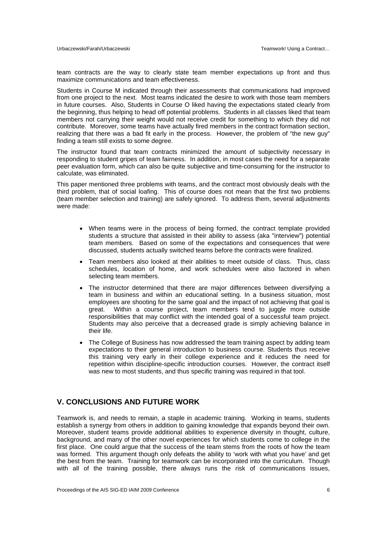team contracts are the way to clearly state team member expectations up front and thus maximize communications and team effectiveness.

Students in Course M indicated through their assessments that communications had improved from one project to the next. Most teams indicated the desire to work with those team members in future courses. Also, Students in Course O liked having the expectations stated clearly from the beginning, thus helping to head off potential problems. Students in all classes liked that team members not carrying their weight would not receive credit for something to which they did not contribute. Moreover, some teams have actually fired members in the contract formation section, realizing that there was a bad fit early in the process. However, the problem of "the new guy" finding a team still exists to some degree.

The instructor found that team contracts minimized the amount of subjectivity necessary in responding to student gripes of team fairness. In addition, in most cases the need for a separate peer evaluation form, which can also be quite subjective and time-consuming for the instructor to calculate, was eliminated.

This paper mentioned three problems with teams, and the contract most obviously deals with the third problem, that of social loafing. This of course does not mean that the first two problems (team member selection and training) are safely ignored. To address them, several adjustments were made:

- When teams were in the process of being formed, the contract template provided students a structure that assisted in their ability to assess (aka "interview") potential team members. Based on some of the expectations and consequences that were discussed, students actually switched teams before the contracts were finalized.
- Team members also looked at their abilities to meet outside of class. Thus, class schedules, location of home, and work schedules were also factored in when selecting team members.
- The instructor determined that there are major differences between diversifying a team in business and within an educational setting. In a business situation, most employees are shooting for the same goal and the impact of not achieving that goal is great. Within a course project, team members tend to juggle more outside responsibilities that may conflict with the intended goal of a successful team project. Students may also perceive that a decreased grade is simply achieving balance in their life.
- The College of Business has now addressed the team training aspect by adding team expectations to their general introduction to business course. Students thus receive this training very early in their college experience and it reduces the need for repetition within discipline-specific introduction courses. However, the contract itself was new to most students, and thus specific training was required in that tool.

### **V. CONCLUSIONS AND FUTURE WORK**

Teamwork is, and needs to remain, a staple in academic training. Working in teams, students establish a synergy from others in addition to gaining knowledge that expands beyond their own. Moreover, student teams provide additional abilities to experience diversity in thought, culture, background, and many of the other novel experiences for which students come to college in the first place. One could argue that the success of the team stems from the roots of how the team was formed. This argument though only defeats the ability to 'work with what you have' and get the best from the team. Training for teamwork can be incorporated into the curriculum. Though with all of the training possible, there always runs the risk of communications issues,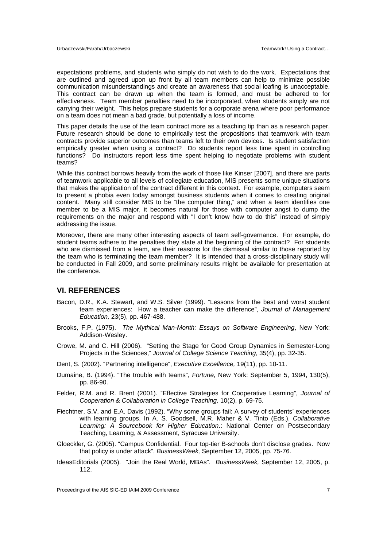expectations problems, and students who simply do not wish to do the work. Expectations that are outlined and agreed upon up front by all team members can help to minimize possible communication misunderstandings and create an awareness that social loafing is unacceptable. This contract can be drawn up when the team is formed, and must be adhered to for effectiveness. Team member penalties need to be incorporated, when students simply are not carrying their weight. This helps prepare students for a corporate arena where poor performance on a team does not mean a bad grade, but potentially a loss of income.

This paper details the use of the team contract more as a teaching tip than as a research paper. Future research should be done to empirically test the propositions that teamwork with team contracts provide superior outcomes than teams left to their own devices. Is student satisfaction empirically greater when using a contract? Do students report less time spent in controlling functions? Do instructors report less time spent helping to negotiate problems with student teams?

While this contract borrows heavily from the work of those like Kinser [2007], and there are parts of teamwork applicable to all levels of collegiate education, MIS presents some unique situations that makes the application of the contract different in this context. For example, computers seem to present a phobia even today amongst business students when it comes to creating original content. Many still consider MIS to be "the computer thing," and when a team identifies one member to be a MIS major, it becomes natural for those with computer angst to dump the requirements on the major and respond with "I don't know how to do this" instead of simply addressing the issue.

Moreover, there are many other interesting aspects of team self-governance. For example, do student teams adhere to the penalties they state at the beginning of the contract? For students who are dismissed from a team, are their reasons for the dismissal similar to those reported by the team who is terminating the team member? It is intended that a cross-disciplinary study will be conducted in Fall 2009, and some preliminary results might be available for presentation at the conference.

#### **VI. REFERENCES**

- Bacon, D.R., K.A. Stewart, and W.S. Silver (1999). "Lessons from the best and worst student team experiences: How a teacher can make the difference", *Journal of Management Education,* 23(5), pp. 467-488.
- Brooks, F.P. (1975). *The Mythical Man-Month: Essays on Software Engineering*, New York: Addison-Wesley.
- Crowe, M. and C. Hill (2006). "Setting the Stage for Good Group Dynamics in Semester-Long Projects in the Sciences," *Journal of College Science Teaching*, 35(4), pp. 32-35.
- Dent, S. (2002). "Partnering intelligence", *Executive Excellence,* 19(11), pp. 10-11.
- Dumaine, B. (1994). "The trouble with teams", *Fortune,* New York: September 5, 1994, 130(5), pp. 86-90.
- Felder, R.M. and R. Brent (2001). "Effective Strategies for Cooperative Learning", *Journal of Cooperation & Collaboration in College Teaching,* 10(2), p. 69-75*.*
- Fiechtner, S.V. and E.A. Davis (1992). "Why some groups fail: A survey of students' experiences with learning groups. In A. S. Goodsell, M.R. Maher & V. Tinto (Eds.), *Collaborative Learning: A Sourcebook for Higher Education*.: National Center on Postsecondary Teaching, Learning, & Assessment, Syracuse University.
- Gloeckler, G. (2005). "Campus Confidential. Four top-tier B-schools don't disclose grades. Now that policy is under attack", *BusinessWeek,* September 12, 2005, pp. 75-76.
- IdeasEditorials (2005). "Join the Real World, MBAs". *BusinessWeek,* September 12, 2005, p. 112.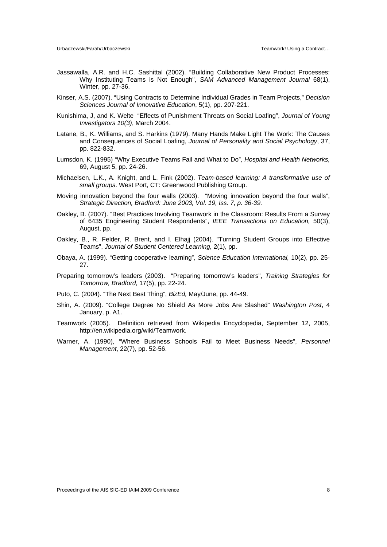- Jassawalla, A.R. and H.C. Sashittal (2002). "Building Collaborative New Product Processes: Why Instituting Teams is Not Enough", *SAM Advanced Management Journal* 68(1), Winter, pp. 27-36.
- Kinser, A.S. (2007). "Using Contracts to Determine Individual Grades in Team Projects," *Decision Sciences Journal of Innovative Education*, 5(1), pp. 207-221.
- Kunishima, J, and K. Welte "Effects of Punishment Threats on Social Loafing", *Journal of Young Investigators 10(3)*, March 2004.
- Latane, B., K. Williams, and S. Harkins (1979). Many Hands Make Light The Work: The Causes and Consequences of Social Loafing, *Journal of Personality and Social Psychology*, 37, pp. 822-832.
- Lumsdon, K. (1995) "Why Executive Teams Fail and What to Do", *Hospital and Health Networks,*  69, August 5, pp. 24-26.
- Michaelsen, L.K., A. Knight, and L. Fink (2002). *Team-based learning: A transformative use of small groups*. West Port, CT: Greenwood Publishing Group.
- Moving innovation beyond the four walls (2003). "Moving innovation beyond the four walls", *Strategic Direction, Bradford: June 2003, Vol. 19, Iss. 7, p. 36-39.*
- Oakley, B. (2007). "Best Practices Involving Teamwork in the Classroom: Results From a Survey of 6435 Engineering Student Respondents", *IEEE Transactions on Education,* 50(3), August, pp.
- Oakley, B., R. Felder, R. Brent, and I. Elhajj (2004). "Turning Student Groups into Effective Teams", *Journal of Student Centered Learning,* 2(1), pp.
- Obaya, A. (1999). "Getting cooperative learning", *Science Education International,* 10(2), pp. 25- 27.
- Preparing tomorrow's leaders (2003). "Preparing tomorrow's leaders", *Training Strategies for Tomorrow, Bradford,* 17(5), pp. 22-24.
- Puto, C. (2004). "The Next Best Thing", *BizEd,* May/June, pp. 44-49.
- Shin, A. (2009). "College Degree No Shield As More Jobs Are Slashed" *Washington Post*, 4 January, p. A1.
- Teamwork (2005). Definition retrieved from Wikipedia Encyclopedia, September 12, 2005, http://en.wikipedia.org/wiki/Teamwork.
- Warner, A. (1990), "Where Business Schools Fail to Meet Business Needs", *Personnel Management*, 22(7), pp. 52-56.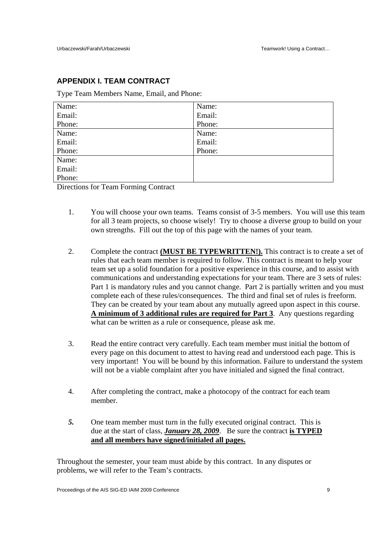## **APPENDIX I. TEAM CONTRACT**

Type Team Members Name, Email, and Phone:

| Name:  | Name:  |
|--------|--------|
| Email: | Email: |
| Phone: | Phone: |
| Name:  | Name:  |
| Email: | Email: |
| Phone: | Phone: |
| Name:  |        |
| Email: |        |
| Phone: |        |

Directions for Team Forming Contract

- 1. You will choose your own teams. Teams consist of 3-5 members. You will use this team for all 3 team projects, so choose wisely! Try to choose a diverse group to build on your own strengths. Fill out the top of this page with the names of your team.
- 2. Complete the contract **(MUST BE TYPEWRITTEN!).** This contract is to create a set of rules that each team member is required to follow. This contract is meant to help your team set up a solid foundation for a positive experience in this course, and to assist with communications and understanding expectations for your team. There are 3 sets of rules: Part 1 is mandatory rules and you cannot change. Part 2 is partially written and you must complete each of these rules/consequences. The third and final set of rules is freeform. They can be created by your team about any mutually agreed upon aspect in this course. **A minimum of 3 additional rules are required for Part 3**. Any questions regarding what can be written as a rule or consequence, please ask me.
- 3. Read the entire contract very carefully. Each team member must initial the bottom of every page on this document to attest to having read and understood each page. This is very important! You will be bound by this information. Failure to understand the system will not be a viable complaint after you have initialed and signed the final contract.
- 4. After completing the contract, make a photocopy of the contract for each team member.
- *5.* One team member must turn in the fully executed original contract. This is due at the start of class, *January 28, 2009*. Be sure the contract **is TYPED and all members have signed/initialed all pages.**

Throughout the semester, your team must abide by this contract. In any disputes or problems, we will refer to the Team's contracts.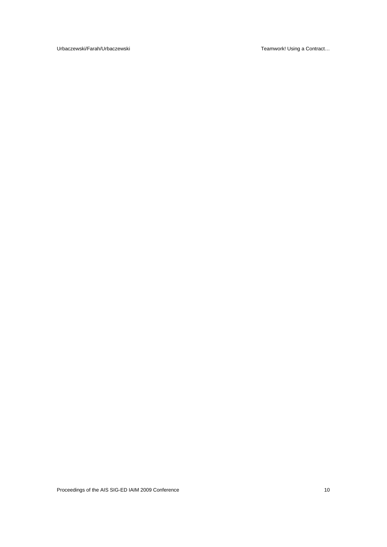Urbaczewski/Farah/Urbaczewski Teamwork! Using a Contract…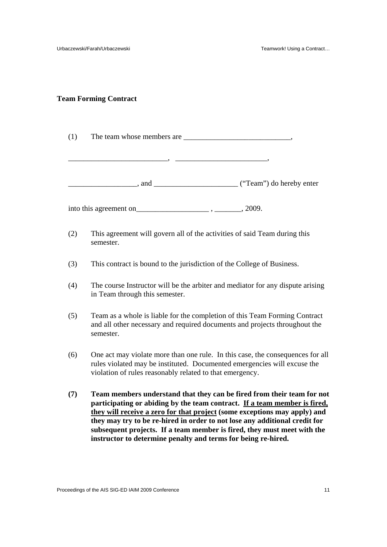#### **Team Forming Contract**

 $(1)$  The team whose members are  $\blacksquare$ 

 $\blacksquare$ 

\_\_\_\_\_\_\_\_\_\_\_\_\_\_\_\_\_\_, and \_\_\_\_\_\_\_\_\_\_\_\_\_\_\_\_\_\_\_\_\_\_ ("Team") do hereby enter

into this agreement on  $\ldots$ ,  $\ldots$ , 2009.

- (2) This agreement will govern all of the activities of said Team during this semester.
- (3) This contract is bound to the jurisdiction of the College of Business.
- (4) The course Instructor will be the arbiter and mediator for any dispute arising in Team through this semester.
- (5) Team as a whole is liable for the completion of this Team Forming Contract and all other necessary and required documents and projects throughout the semester.
- (6) One act may violate more than one rule. In this case, the consequences for all rules violated may be instituted. Documented emergencies will excuse the violation of rules reasonably related to that emergency.
- **(7) Team members understand that they can be fired from their team for not participating or abiding by the team contract. If a team member is fired, they will receive a zero for that project (some exceptions may apply) and they may try to be re-hired in order to not lose any additional credit for subsequent projects. If a team member is fired, they must meet with the instructor to determine penalty and terms for being re-hired.**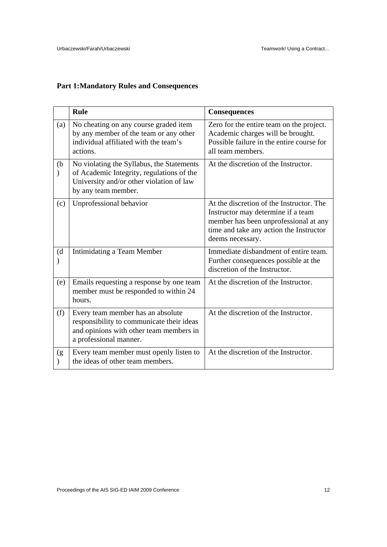# **Part 1: Mandatory Rules and Consequences**

|     | <b>Rule</b>                                                                                                                                               | <b>Consequences</b>                                                                                                                                                                    |
|-----|-----------------------------------------------------------------------------------------------------------------------------------------------------------|----------------------------------------------------------------------------------------------------------------------------------------------------------------------------------------|
| (a) | No cheating on any course graded item<br>by any member of the team or any other<br>individual affiliated with the team's<br>actions.                      | Zero for the entire team on the project.<br>Academic charges will be brought.<br>Possible failure in the entire course for<br>all team members.                                        |
| (b) | No violating the Syllabus, the Statements<br>of Academic Integrity, regulations of the<br>University and/or other violation of law<br>by any team member. | At the discretion of the Instructor.                                                                                                                                                   |
| (c) | Unprofessional behavior                                                                                                                                   | At the discretion of the Instructor. The<br>Instructor may determine if a team<br>member has been unprofessional at any<br>time and take any action the Instructor<br>deems necessary. |
| (d) | Intimidating a Team Member                                                                                                                                | Immediate disbandment of entire team.<br>Further consequences possible at the<br>discretion of the Instructor.                                                                         |
| (e) | Emails requesting a response by one team<br>member must be responded to within 24<br>hours.                                                               | At the discretion of the Instructor.                                                                                                                                                   |
| (f) | Every team member has an absolute<br>responsibility to communicate their ideas<br>and opinions with other team members in<br>a professional manner.       | At the discretion of the Instructor.                                                                                                                                                   |
| (g  | Every team member must openly listen to<br>the ideas of other team members.                                                                               | At the discretion of the Instructor.                                                                                                                                                   |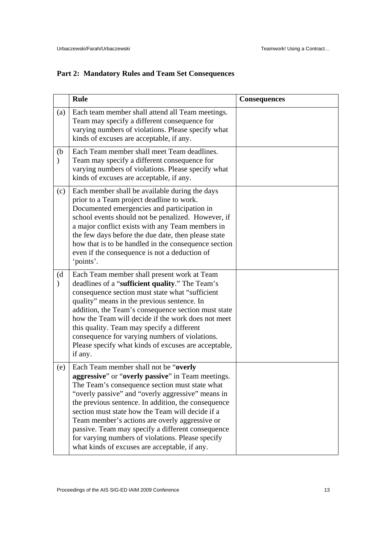|                      | <b>Rule</b>                                                                                                                                                                                                                                                                                                                                                                                                                                                                                                               | Consequences |
|----------------------|---------------------------------------------------------------------------------------------------------------------------------------------------------------------------------------------------------------------------------------------------------------------------------------------------------------------------------------------------------------------------------------------------------------------------------------------------------------------------------------------------------------------------|--------------|
| (a)                  | Each team member shall attend all Team meetings.<br>Team may specify a different consequence for<br>varying numbers of violations. Please specify what<br>kinds of excuses are acceptable, if any.                                                                                                                                                                                                                                                                                                                        |              |
| (b)<br>$\mathcal{C}$ | Each Team member shall meet Team deadlines.<br>Team may specify a different consequence for<br>varying numbers of violations. Please specify what<br>kinds of excuses are acceptable, if any.                                                                                                                                                                                                                                                                                                                             |              |
| (c)                  | Each member shall be available during the days<br>prior to a Team project deadline to work.<br>Documented emergencies and participation in<br>school events should not be penalized. However, if<br>a major conflict exists with any Team members in<br>the few days before the due date, then please state<br>how that is to be handled in the consequence section<br>even if the consequence is not a deduction of<br>'points'.                                                                                         |              |
| (d)<br>$\mathcal{E}$ | Each Team member shall present work at Team<br>deadlines of a "sufficient quality." The Team's<br>consequence section must state what "sufficient<br>quality" means in the previous sentence. In<br>addition, the Team's consequence section must state<br>how the Team will decide if the work does not meet<br>this quality. Team may specify a different<br>consequence for varying numbers of violations.<br>Please specify what kinds of excuses are acceptable,<br>if any.                                          |              |
| (e)                  | Each Team member shall not be "overly<br>aggressive" or "overly passive" in Team meetings.<br>The Team's consequence section must state what<br>"overly passive" and "overly aggressive" means in<br>the previous sentence. In addition, the consequence<br>section must state how the Team will decide if a<br>Team member's actions are overly aggressive or<br>passive. Team may specify a different consequence<br>for varying numbers of violations. Please specify<br>what kinds of excuses are acceptable, if any. |              |

# **Part 2: Mandatory Rules and Team Set Consequences**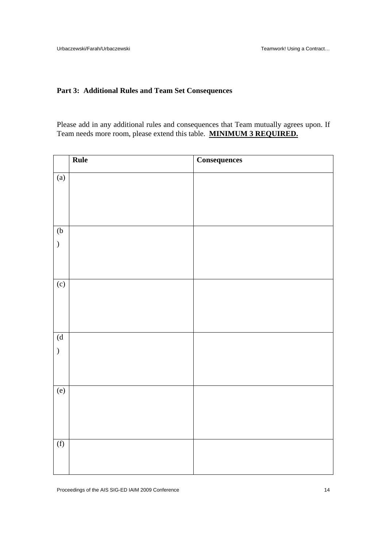# **Part 3: Additional Rules and Team Set Consequences**

Please add in any additional rules and consequences that Team mutually agrees upon. If Team needs more room, please extend this table. **MINIMUM 3 REQUIRED.**

|                           | Rule | <b>Consequences</b> |
|---------------------------|------|---------------------|
| $\overline{a}$            |      |                     |
|                           |      |                     |
|                           |      |                     |
| $\overline{\textbf{(b)}}$ |      |                     |
| $\big)$                   |      |                     |
|                           |      |                     |
|                           |      |                     |
| $\overline{(c)}$          |      |                     |
|                           |      |                     |
|                           |      |                     |
| $\boxed{\text{d}}$        |      |                     |
| $\big)$                   |      |                     |
|                           |      |                     |
| (e)                       |      |                     |
|                           |      |                     |
|                           |      |                     |
|                           |      |                     |
| (f)                       |      |                     |
|                           |      |                     |

Proceedings of the AIS SIG-ED IAIM 2009 Conference 14